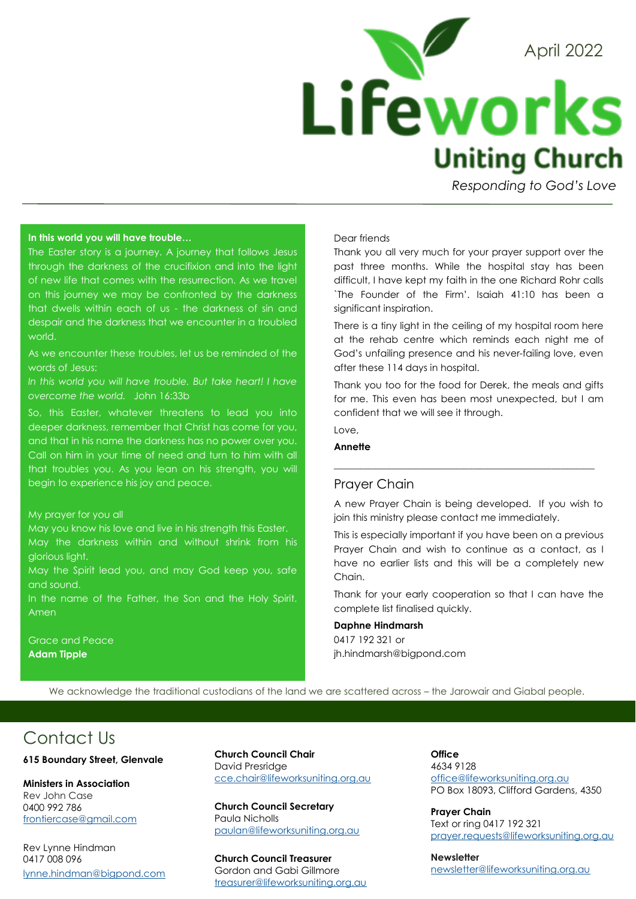

*Responding to God's Love* 

#### **In this world you will have trouble…**

The Easter story is a journey. A journey that follows Jesus through the darkness of the crucifixion and into the light of new life that comes with the resurrection. As we travel on this journey we may be confronted by the darkness that dwells within each of us - the darkness of sin and despair and the darkness that we encounter in a troubled world.

As we encounter these troubles, let us be reminded of the words of Jesus:

*In this world you will have trouble. But take heart! I have overcome the world.* John 16:33b

So, this Easter, whatever threatens to lead you into deeper darkness, remember that Christ has come for you, and that in his name the darkness has no power over you. Call on him in your time of need and turn to him with all that troubles you. As you lean on his strength, you will begin to experience his joy and peace.

#### My prayer for you all

May you know his love and live in his strength this Easter. May the darkness within and without shrink from his glorious light.

May the Spirit lead you, and may God keep you, safe and sound.

In the name of the Father, the Son and the Holy Spirit. Amen

Grace and Peace **Adam Tipple**

### Dear friends

Thank you all very much for your prayer support over the past three months. While the hospital stay has been difficult, I have kept my faith in the one Richard Rohr calls `The Founder of the Firm'. Isaiah 41:10 has been a significant inspiration.

There is a tiny light in the ceiling of my hospital room here at the rehab centre which reminds each night me of God's unfailing presence and his never-failing love, even after these 114 days in hospital.

Thank you too for the food for Derek, the meals and gifts for me. This even has been most unexpected, but I am confident that we will see it through.

## Love,

### **Annette**

## Prayer Chain

A new Prayer Chain is being developed. If you wish to join this ministry please contact me immediately.

 $\_$  ,  $\_$  ,  $\_$  ,  $\_$  ,  $\_$  ,  $\_$  ,  $\_$  ,  $\_$  ,  $\_$  ,  $\_$  ,  $\_$  ,  $\_$  ,  $\_$  ,  $\_$  ,  $\_$  ,  $\_$  ,  $\_$  ,  $\_$ 

This is especially important if you have been on a previous Prayer Chain and wish to continue as a contact, as I have no earlier lists and this will be a completely new Chain.

Thank for your early cooperation so that I can have the complete list finalised quickly.

#### **Daphne Hindmarsh**

0417 192 321 or jh.hindmarsh@bigpond.com

We acknowledge the traditional custodians of the land we are scattered across – the Jarowair and Giabal people.

## Contact Us

#### **615 Boundary Street, Glenvale**

**Ministers in Association** Rev John Case 0400 992 786 [frontiercase@gmail.com](mailto:frontiercase@gmail.com)

Rev Lynne Hindman 0417 008 096 [lynne.hindman@bigpond.com](mailto:lynne.hindman@bigpond.com) **Church Council Chair** David Presridge [cce.chair@lifeworksuniting.org.au](mailto:cce.chair@lifeworksuniting.org.au)

**Church Council Secretary** Paula Nicholls [paulan@lifeworksuniting.org.au](mailto:cce.secretary@lifeworksuniting.org.au)

**Church Council Treasurer** Gordon and Gabi Gillmore [treasurer@lifeworksuniting.org.au](mailto:treasurer@lifeworksuniting.org.au) **Office** 4634 9128 [office@lifeworksuniting.org.au](mailto:office@lifeworksuniting.org.au) PO Box 18093, Clifford Gardens, 4350

**Prayer Chain** Text or ring 0417 192 321 [prayer.requests@lifeworksuniting.org.au](mailto:prayer.requests@lifeworksuniting.org.au)

**Newsletter** [newsletter@lifeworksuniting.org.au](mailto:newsletter@lifeworksuniting.org.au)